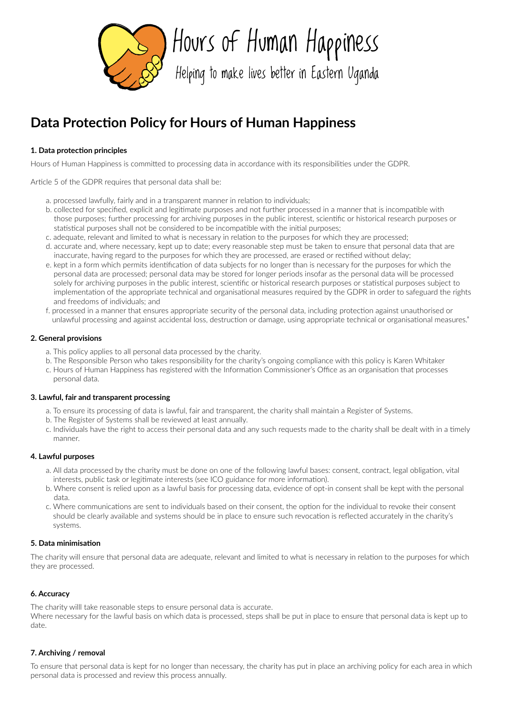

Hours of Human Happiness

Helping to make lives better in Eastern Uganda

# **Data Protection Policy for Hours of Human Happiness**

# **1. Data protection principles**

Hours of Human Happiness is committed to processing data in accordance with its responsibilities under the GDPR.

Article 5 of the GDPR requires that personal data shall be:

- a. processed lawfully, fairly and in a transparent manner in relation to individuals;
- b. collected for specified, explicit and legitimate purposes and not further processed in a manner that is incompatible with those purposes; further processing for archiving purposes in the public interest, scientific or historical research purposes or statistical purposes shall not be considered to be incompatible with the initial purposes;
- c. adequate, relevant and limited to what is necessary in relation to the purposes for which they are processed;
- d. accurate and, where necessary, kept up to date; every reasonable step must be taken to ensure that personal data that are inaccurate, having regard to the purposes for which they are processed, are erased or rectified without delay;
- e. kept in a form which permits identification of data subjects for no longer than is necessary for the purposes for which the personal data are processed; personal data may be stored for longer periods insofar as the personal data will be processed solely for archiving purposes in the public interest, scientific or historical research purposes or statistical purposes subject to implementation of the appropriate technical and organisational measures required by the GDPR in order to safeguard the rights and freedoms of individuals; and
- f. processed in a manner that ensures appropriate security of the personal data, including protection against unauthorised or unlawful processing and against accidental loss, destruction or damage, using appropriate technical or organisational measures."

### **2. General provisions**

- a. This policy applies to all personal data processed by the charity.
- b. The Responsible Person who takes responsibility for the charity's ongoing compliance with this policy is Karen Whitaker
- c. Hours of Human Happiness has registered with the Information Commissioner's Office as an organisation that processes personal data.

#### **3. Lawful, fair and transparent processing**

- a. To ensure its processing of data is lawful, fair and transparent, the charity shall maintain a Register of Systems.
- b. The Register of Systems shall be reviewed at least annually.
- c. Individuals have the right to access their personal data and any such requests made to the charity shall be dealt with in a timely manner.

#### **4. Lawful purposes**

- a. All data processed by the charity must be done on one of the following lawful bases: consent, contract, legal obligation, vital interests, public task or legitimate interests (see ICO guidance for more information).
- b. Where consent is relied upon as a lawful basis for processing data, evidence of opt-in consent shall be kept with the personal data.
- c. Where communications are sent to individuals based on their consent, the option for the individual to revoke their consent should be clearly available and systems should be in place to ensure such revocation is reflected accurately in the charity's systems.

# **5. Data minimisation**

The charity will ensure that personal data are adequate, relevant and limited to what is necessary in relation to the purposes for which they are processed.

# **6. Accuracy**

The charity willl take reasonable steps to ensure personal data is accurate.

Where necessary for the lawful basis on which data is processed, steps shall be put in place to ensure that personal data is kept up to date.

# **7. Archiving / removal**

To ensure that personal data is kept for no longer than necessary, the charity has put in place an archiving policy for each area in which personal data is processed and review this process annually.